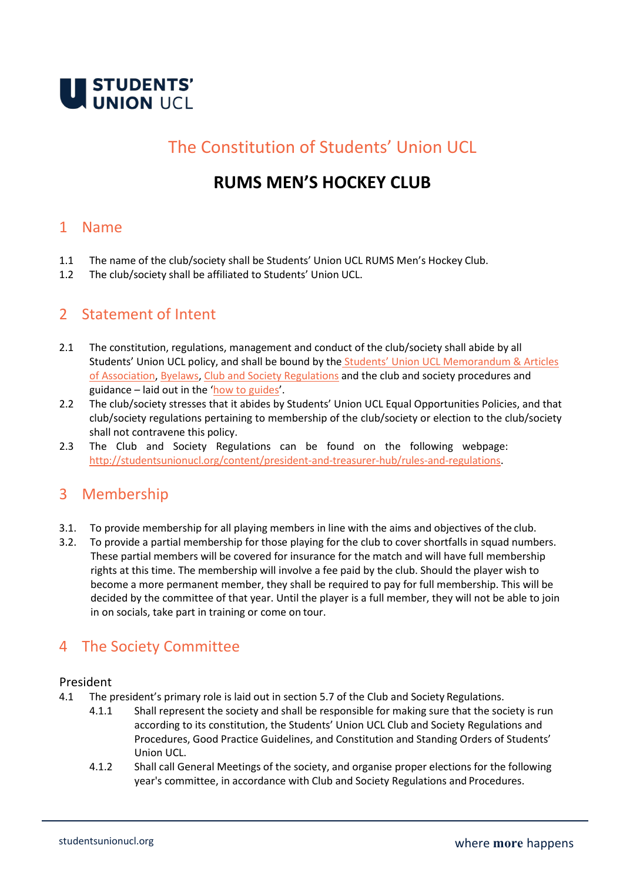

# The Constitution of Students' Union UCL

# **RUMS MEN'S HOCKEY CLUB**

### 1 Name

- 1.1 The name of the club/society shall be Students' Union UCL RUMS Men's Hockey Club.
- 1.2 The club/society shall be affiliated to Students' Union UCL.

## 2 Statement of Intent

- 2.1 The constitution, regulations, management and conduct of the club/society shall abide by all Students' Union UCL policy, and shall be bound by the [Students' Union UCL Memorandum & Articles](http://studentsunionucl.org/governing-documents) [of Association, Byelaws,](http://studentsunionucl.org/governing-documents) [Club and Society Regulations](http://studentsunionucl.org/content/president-and-treasurer-hub/rules-and-regulations) and the club and society procedures and guidance – laid out in the '[how to guides](https://studentsunionucl.org/how-to-guides)'.
- 2.2 The club/society stresses that it abides by Students' Union UCL Equal Opportunities Policies, and that club/society regulations pertaining to membership of the club/society or election to the club/society shall not contravene this policy.
- 2.3 The Club and Society Regulations can be found on the following webpage[:](http://studentsunionucl.org/content/president-and-treasurer-hub/rules-and-regulations) [http://studentsunionucl.org/content/president-and-treasurer-hub/rules-and-regulations.](http://studentsunionucl.org/content/president-and-treasurer-hub/rules-and-regulations)

## 3 Membership

- 3.1. To provide membership for all playing members in line with the aims and objectives of the club.
- 3.2. To provide a partial membership for those playing for the club to cover shortfalls in squad numbers. These partial members will be covered for insurance for the match and will have full membership rights at this time. The membership will involve a fee paid by the club. Should the player wish to become a more permanent member, they shall be required to pay for full membership. This will be decided by the committee of that year. Until the player is a full member, they will not be able to join in on socials, take part in training or come on tour.

# 4 The Society Committee

#### President

- 4.1 The president's primary role is laid out in section 5.7 of the Club and Society Regulations.
	- 4.1.1 Shall represent the society and shall be responsible for making sure that the society is run according to its constitution, the Students' Union UCL Club and Society Regulations and Procedures, Good Practice Guidelines, and Constitution and Standing Orders of Students' Union UCL.
	- 4.1.2 Shall call General Meetings of the society, and organise proper elections for the following year's committee, in accordance with Club and Society Regulations and Procedures.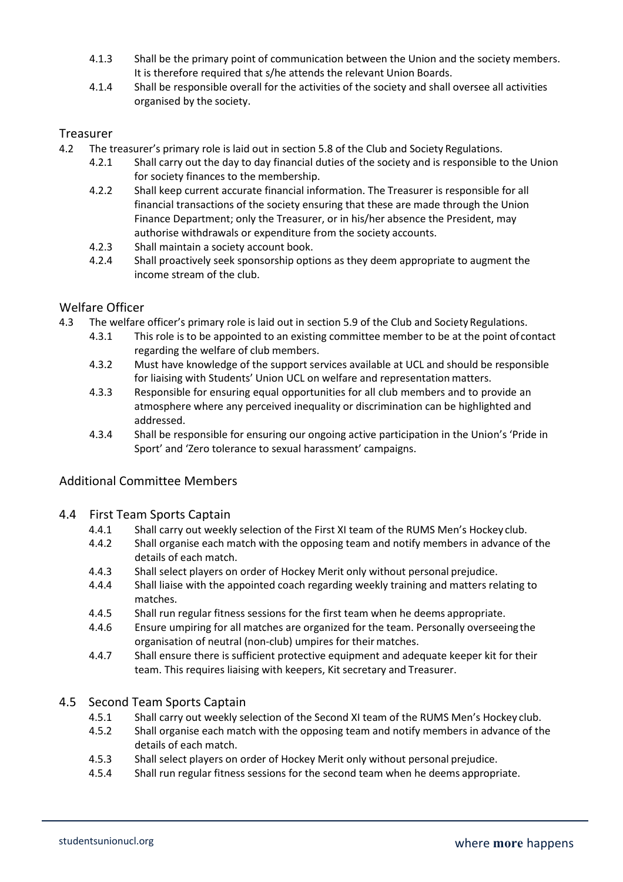- 4.1.3 Shall be the primary point of communication between the Union and the society members. It is therefore required that s/he attends the relevant Union Boards.
- 4.1.4 Shall be responsible overall for the activities of the society and shall oversee all activities organised by the society.

#### Treasurer

- 4.2 The treasurer's primary role is laid out in section 5.8 of the Club and Society Regulations.
	- 4.2.1 Shall carry out the day to day financial duties of the society and is responsible to the Union for society finances to the membership.
	- 4.2.2 Shall keep current accurate financial information. The Treasurer is responsible for all financial transactions of the society ensuring that these are made through the Union Finance Department; only the Treasurer, or in his/her absence the President, may authorise withdrawals or expenditure from the society accounts.
	- 4.2.3 Shall maintain a society account book.
	- 4.2.4 Shall proactively seek sponsorship options as they deem appropriate to augment the income stream of the club.

#### Welfare Officer

- 4.3 The welfare officer's primary role is laid out in section 5.9 of the Club and Society Regulations.
	- 4.3.1 This role is to be appointed to an existing committee member to be at the point of contact regarding the welfare of club members.
	- 4.3.2 Must have knowledge of the support services available at UCL and should be responsible for liaising with Students' Union UCL on welfare and representation matters.
	- 4.3.3 Responsible for ensuring equal opportunities for all club members and to provide an atmosphere where any perceived inequality or discrimination can be highlighted and addressed.
	- 4.3.4 Shall be responsible for ensuring our ongoing active participation in the Union's 'Pride in Sport' and 'Zero tolerance to sexual harassment' campaigns.

#### Additional Committee Members

#### 4.4 First Team Sports Captain

- 4.4.1 Shall carry out weekly selection of the First XI team of the RUMS Men's Hockey club.
- 4.4.2 Shall organise each match with the opposing team and notify members in advance of the details of each match.
- 4.4.3 Shall select players on order of Hockey Merit only without personal prejudice.
- 4.4.4 Shall liaise with the appointed coach regarding weekly training and matters relating to matches.
- 4.4.5 Shall run regular fitness sessions for the first team when he deems appropriate.
- 4.4.6 Ensure umpiring for all matches are organized for the team. Personally overseeingthe organisation of neutral (non-club) umpires for their matches.
- 4.4.7 Shall ensure there is sufficient protective equipment and adequate keeper kit for their team. This requires liaising with keepers, Kit secretary and Treasurer.

#### 4.5 Second Team Sports Captain

- 4.5.1 Shall carry out weekly selection of the Second XI team of the RUMS Men's Hockey club.
- 4.5.2 Shall organise each match with the opposing team and notify members in advance of the details of each match.
- 4.5.3 Shall select players on order of Hockey Merit only without personal prejudice.
- 4.5.4 Shall run regular fitness sessions for the second team when he deems appropriate.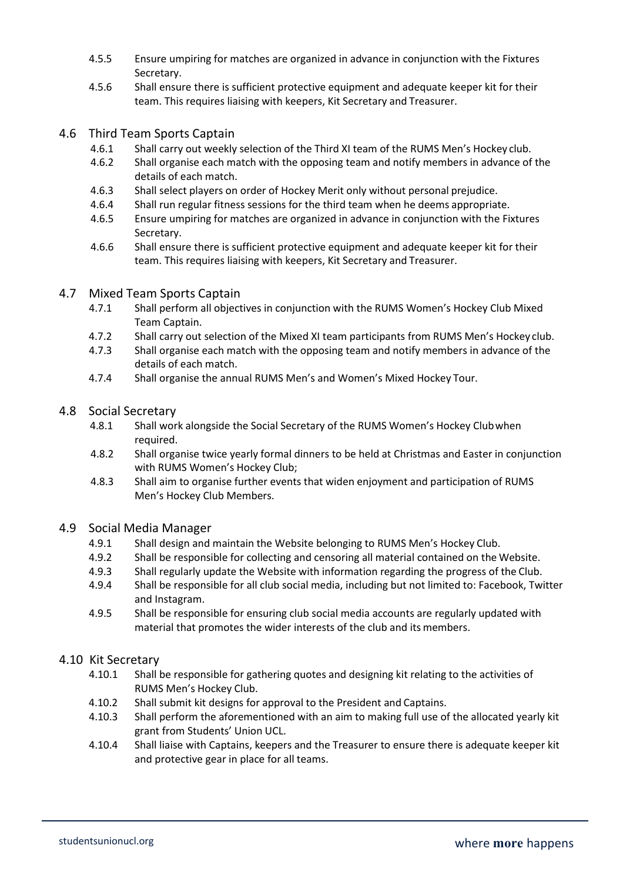- 4.5.5 Ensure umpiring for matches are organized in advance in conjunction with the Fixtures Secretary.
- 4.5.6 Shall ensure there is sufficient protective equipment and adequate keeper kit for their team. This requires liaising with keepers, Kit Secretary and Treasurer.

#### 4.6 Third Team Sports Captain

- 4.6.1 Shall carry out weekly selection of the Third XI team of the RUMS Men's Hockey club.
- 4.6.2 Shall organise each match with the opposing team and notify members in advance of the details of each match.
- 4.6.3 Shall select players on order of Hockey Merit only without personal prejudice.
- 4.6.4 Shall run regular fitness sessions for the third team when he deems appropriate.
- 4.6.5 Ensure umpiring for matches are organized in advance in conjunction with the Fixtures Secretary.
- 4.6.6 Shall ensure there is sufficient protective equipment and adequate keeper kit for their team. This requires liaising with keepers, Kit Secretary and Treasurer.

#### 4.7 Mixed Team Sports Captain

- 4.7.1 Shall perform all objectives in conjunction with the RUMS Women's Hockey Club Mixed Team Captain.
- 4.7.2 Shall carry out selection of the Mixed XI team participants from RUMS Men's Hockey club.
- 4.7.3 Shall organise each match with the opposing team and notify members in advance of the details of each match.
- 4.7.4 Shall organise the annual RUMS Men's and Women's Mixed Hockey Tour.

#### 4.8 Social Secretary

- 4.8.1 Shall work alongside the Social Secretary of the RUMS Women's Hockey Clubwhen required.
- 4.8.2 Shall organise twice yearly formal dinners to be held at Christmas and Easter in conjunction with RUMS Women's Hockey Club;
- 4.8.3 Shall aim to organise further events that widen enjoyment and participation of RUMS Men's Hockey Club Members.

#### 4.9 Social Media Manager

- 4.9.1 Shall design and maintain the Website belonging to RUMS Men's Hockey Club.
- 4.9.2 Shall be responsible for collecting and censoring all material contained on the Website.
- 4.9.3 Shall regularly update the Website with information regarding the progress of the Club.
- 4.9.4 Shall be responsible for all club social media, including but not limited to: Facebook, Twitter and Instagram.
- 4.9.5 Shall be responsible for ensuring club social media accounts are regularly updated with material that promotes the wider interests of the club and its members.

#### 4.10 Kit Secretary

- 4.10.1 Shall be responsible for gathering quotes and designing kit relating to the activities of RUMS Men's Hockey Club.
- 4.10.2 Shall submit kit designs for approval to the President and Captains.
- 4.10.3 Shall perform the aforementioned with an aim to making full use of the allocated yearly kit grant from Students' Union UCL.
- 4.10.4 Shall liaise with Captains, keepers and the Treasurer to ensure there is adequate keeper kit and protective gear in place for all teams.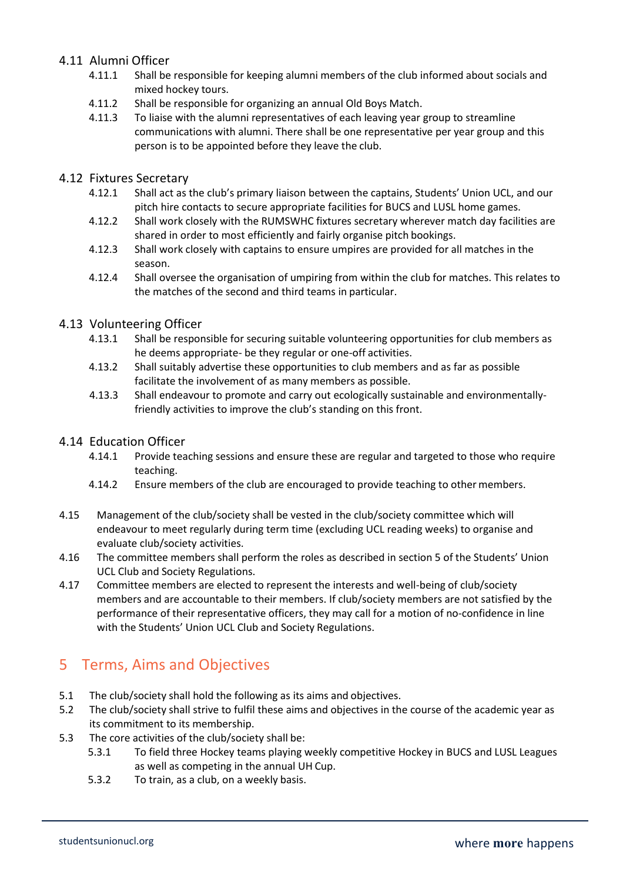#### 4.11 Alumni Officer

- 4.11.1 Shall be responsible for keeping alumni members of the club informed about socials and mixed hockey tours.
- 4.11.2 Shall be responsible for organizing an annual Old Boys Match.
- 4.11.3 To liaise with the alumni representatives of each leaving year group to streamline communications with alumni. There shall be one representative per year group and this person is to be appointed before they leave the club.

#### 4.12 Fixtures Secretary

- 4.12.1 Shall act as the club's primary liaison between the captains, Students' Union UCL, and our pitch hire contacts to secure appropriate facilities for BUCS and LUSL home games.
- 4.12.2 Shall work closely with the RUMSWHC fixtures secretary wherever match day facilities are shared in order to most efficiently and fairly organise pitch bookings.
- 4.12.3 Shall work closely with captains to ensure umpires are provided for all matches in the season.
- 4.12.4 Shall oversee the organisation of umpiring from within the club for matches. This relates to the matches of the second and third teams in particular.

#### 4.13 Volunteering Officer

- 4.13.1 Shall be responsible for securing suitable volunteering opportunities for club members as he deems appropriate- be they regular or one-off activities.
- 4.13.2 Shall suitably advertise these opportunities to club members and as far as possible facilitate the involvement of as many members as possible.
- 4.13.3 Shall endeavour to promote and carry out ecologically sustainable and environmentallyfriendly activities to improve the club's standing on this front.

#### 4.14 Education Officer

- 4.14.1 Provide teaching sessions and ensure these are regular and targeted to those who require teaching.
- 4.14.2 Ensure members of the club are encouraged to provide teaching to other members.
- 4.15 Management of the club/society shall be vested in the club/society committee which will endeavour to meet regularly during term time (excluding UCL reading weeks) to organise and evaluate club/society activities.
- 4.16 The committee members shall perform the roles as described in section 5 of the Students' Union UCL Club and Society Regulations.
- 4.17 Committee members are elected to represent the interests and well-being of club/society members and are accountable to their members. If club/society members are not satisfied by the performance of their representative officers, they may call for a motion of no-confidence in line with the Students' Union UCL Club and Society Regulations.

## 5 Terms, Aims and Objectives

- 5.1 The club/society shall hold the following as its aims and objectives.
- 5.2 The club/society shall strive to fulfil these aims and objectives in the course of the academic year as its commitment to its membership.
- 5.3 The core activities of the club/society shall be:
	- 5.3.1 To field three Hockey teams playing weekly competitive Hockey in BUCS and LUSL Leagues as well as competing in the annual UH Cup.
	- 5.3.2 To train, as a club, on a weekly basis.